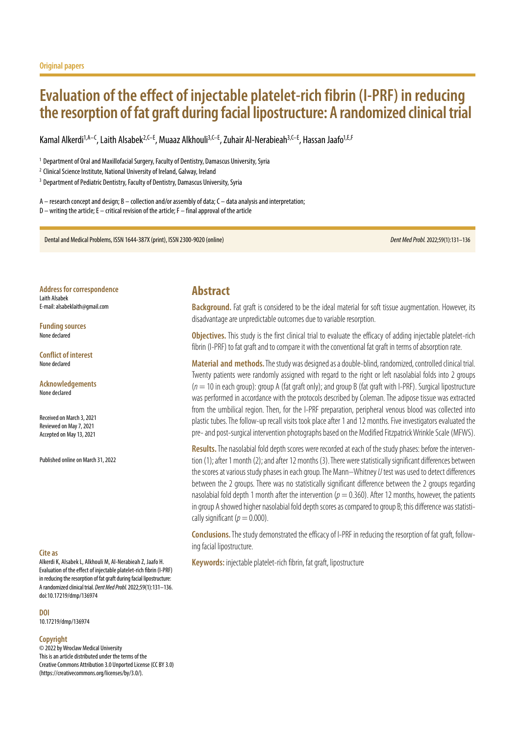# **Evaluation of the effect of injectable platelet-rich fibrin (I-PRF) in reducing the resorption of fat graft during facial lipostructure: A randomized clinical trial**

Kamal Alkerdi<sup>1,A–C</sup>, Laith Alsabek<sup>2,C–E</sup>, Muaaz Alkhouli<sup>3,C–E</sup>, Zuhair Al-Nerabieah<sup>3,C–E</sup>, Hassan Jaafo<sup>1,E,F</sup>

<sup>1</sup> Department of Oral and Maxillofacial Surgery, Faculty of Dentistry, Damascus University, Syria

<sup>2</sup> Clinical Science Institute, National University of Ireland, Galway, Ireland

<sup>3</sup> Department of Pediatric Dentistry, Faculty of Dentistry, Damascus University, Syria

A – research concept and design; B – collection and/or assembly of data; C – data analysis and interpretation; D – writing the article; E – critical revision of the article; F – final approval of the article

Dental and Medical Problems, ISSN 1644-387X (print), ISSN 2300-9020 (online) *Dent Med Probl.*2022;59(1):131–136

**Address for correspondence** Laith Alsabek E-mail: alsabeklaith@gmail.com

**Funding sources** None declared

**Conflict of interest** None declared

**Acknowledgements** None declared

Received on March 3, 2021 Reviewed on May 7, 2021 Accepted on May 13, 2021

Published online on March 31, 2022

#### **Cite as**

Alkerdi K, Alsabek L, Alkhouli M, Al-Nerabieah Z, Jaafo H. Evaluation of the effect of injectable platelet-rich fibrin (I-PRF) in reducing the resorption of fat graft during facial lipostructure: A randomized clinical trial. *Dent Med Probl.* 2022;59(1):131–136. doi:10.17219/dmp/136974

**DOI**

10.17219/dmp/136974

#### **Copyright**

© 2022 by Wroclaw Medical University This is an article distributed under the terms of the Creative Commons Attribution 3.0 Unported License (CC BY 3.0) [\(https://creativecommons.org/licenses/by/3.0/\)](https://creativecommons.org/licenses/by/3.0/).

# **Abstract**

**Background.** Fat graft is considered to be the ideal material for soft tissue augmentation. However, its disadvantage are unpredictable outcomes due to variable resorption.

**Objectives.** This study is the first clinical trial to evaluate the efficacy of adding injectable platelet-rich fibrin (I-PRF) to fat graft and to compare it with the conventional fat graft in terms of absorption rate.

**Material and methods.** The study was designed as a double-blind, randomized, controlled clinical trial. Twenty patients were randomly assigned with regard to the right or left nasolabial folds into 2 groups (*n* = 10 in each group): group A (fat graft only); and group B (fat graft with I-PRF). Surgical lipostructure was performed in accordance with the protocols described by Coleman. The adipose tissue was extracted from the umbilical region. Then, for the I-PRF preparation, peripheral venous blood was collected into plastic tubes. The follow-up recall visits took place after 1 and 12 months. Five investigators evaluated the pre- and post-surgical intervention photographs based on the Modified Fitzpatrick Wrinkle Scale (MFWS).

**Results.**The nasolabial fold depth scores were recorded at each of the study phases: before the intervention (1); after 1 month (2); and after 12 months (3). There were statistically significant differences between the scores at various study phases in each group. The Mann–Whitney *U* test was used to detect differences between the 2 groups. There was no statistically significant difference between the 2 groups regarding nasolabial fold depth 1 month after the intervention ( $p = 0.360$ ). After 12 months, however, the patients in group A showed higher nasolabial fold depth scores as compared to group B; this difference was statistically significant ( $p = 0.000$ ).

**Conclusions.**The study demonstrated the efficacy of I-PRF in reducing the resorption of fat graft, following facial lipostructure.

**Keywords:** injectable platelet-rich fibrin, fat graft, lipostructure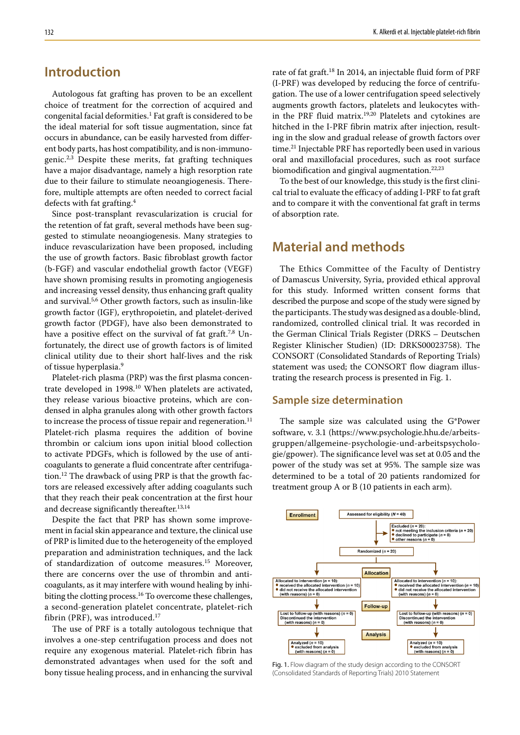# **Introduction**

Autologous fat grafting has proven to be an excellent choice of treatment for the correction of acquired and congenital facial deformities.1 Fat graft is considered to be the ideal material for soft tissue augmentation, since fat occurs in abundance, can be easily harvested from different body parts, has host compatibility, and is non-immunogenic.<sup>2,3</sup> Despite these merits, fat grafting techniques have a major disadvantage, namely a high resorption rate due to their failure to stimulate neoangiogenesis. Therefore, multiple attempts are often needed to correct facial defects with fat grafting.4

Since post-transplant revascularization is crucial for the retention of fat graft, several methods have been suggested to stimulate neoangiogenesis. Many strategies to induce revascularization have been proposed, including the use of growth factors. Basic fibroblast growth factor (b-FGF) and vascular endothelial growth factor (VEGF) have shown promising results in promoting angiogenesis and increasing vessel density, thus enhancing graft quality and survival.5,6 Other growth factors, such as insulin-like growth factor (IGF), erythropoietin, and platelet-derived growth factor (PDGF), have also been demonstrated to have a positive effect on the survival of fat graft.<sup>7,8</sup> Unfortunately, the direct use of growth factors is of limited clinical utility due to their short half-lives and the risk of tissue hyperplasia.9

Platelet-rich plasma (PRP) was the first plasma concentrate developed in 1998.10 When platelets are activated, they release various bioactive proteins, which are condensed in alpha granules along with other growth factors to increase the process of tissue repair and regeneration. $^{11}$ Platelet-rich plasma requires the addition of bovine thrombin or calcium ions upon initial blood collection to activate PDGFs, which is followed by the use of anticoagulants to generate a fluid concentrate after centrifugation.12 The drawback of using PRP is that the growth factors are released excessively after adding coagulants such that they reach their peak concentration at the first hour and decrease significantly thereafter.<sup>13,14</sup>

Despite the fact that PRP has shown some improvement in facial skin appearance and texture, the clinical use of PRP is limited due to the heterogeneity of the employed preparation and administration techniques, and the lack of standardization of outcome measures.15 Moreover, there are concerns over the use of thrombin and anticoagulants, as it may interfere with wound healing by inhibiting the clotting process.<sup>16</sup> To overcome these challenges, a second-generation platelet concentrate, platelet-rich fibrin (PRF), was introduced.<sup>17</sup>

The use of PRF is a totally autologous technique that involves a one-step centrifugation process and does not require any exogenous material. Platelet-rich fibrin has demonstrated advantages when used for the soft and bony tissue healing process, and in enhancing the survival rate of fat graft.18 In 2014, an injectable fluid form of PRF (I-PRF) was developed by reducing the force of centrifugation. The use of a lower centrifugation speed selectively augments growth factors, platelets and leukocytes within the PRF fluid matrix.19,20 Platelets and cytokines are hitched in the I-PRF fibrin matrix after injection, resulting in the slow and gradual release of growth factors over time.21 Injectable PRF has reportedly been used in various oral and maxillofacial procedures, such as root surface biomodification and gingival augmentation.<sup>22,23</sup>

To the best of our knowledge, this study is the first clinical trial to evaluate the efficacy of adding I-PRF to fat graft and to compare it with the conventional fat graft in terms of absorption rate.

# **Material and methods**

The Ethics Committee of the Faculty of Dentistry of Damascus University, Syria, provided ethical approval for this study. Informed written consent forms that described the purpose and scope of the study were signed by the participants. The study was designed as a double-blind, randomized, controlled clinical trial. It was recorded in the German Clinical Trials Register (DRKS – Deutschen Register Klinischer Studien) (ID: DRKS00023758). The CONSORT (Consolidated Standards of Reporting Trials) statement was used; the CONSORT flow diagram illustrating the research process is presented in Fig. 1.

### **Sample size determination**

The sample size was calculated using the G\*Power software, v. 3.1 (https://www.psychologie.hhu.de/arbeitsgruppen/allgemeine-psychologie-und-arbeitspsychologie/gpower). The significance level was set at 0.05 and the power of the study was set at 95%. The sample size was determined to be a total of 20 patients randomized for treatment group A or B (10 patients in each arm).



Fig. 1. Flow diagram of the study design according to the CONSORT (Consolidated Standards of Reporting Trials) 2010 Statement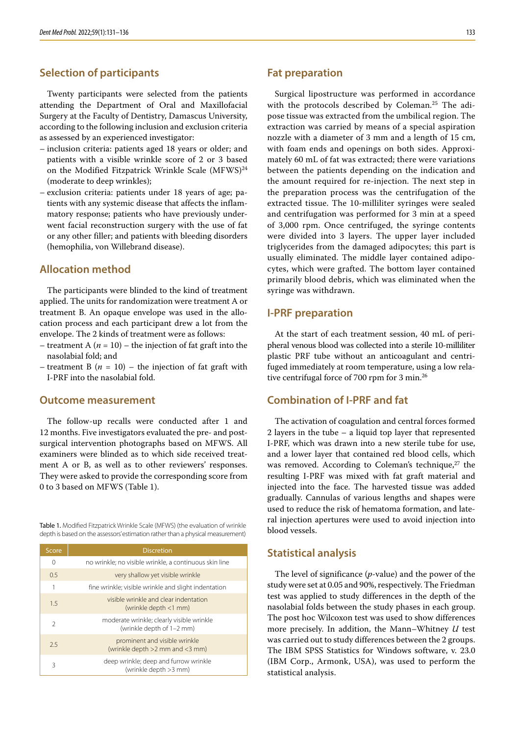## **Selection of participants**

Twenty participants were selected from the patients attending the Department of Oral and Maxillofacial Surgery at the Faculty of Dentistry, Damascus University, according to the following inclusion and exclusion criteria as assessed by an experienced investigator:

- inclusion criteria: patients aged 18 years or older; and patients with a visible wrinkle score of 2 or 3 based on the Modified Fitzpatrick Wrinkle Scale (MFWS)<sup>24</sup> (moderate to deep wrinkles);
- exclusion criteria: patients under 18 years of age; patients with any systemic disease that affects the inflammatory response; patients who have previously underwent facial reconstruction surgery with the use of fat or any other filler; and patients with bleeding disorders (hemophilia, von Willebrand disease).

### **Allocation method**

The participants were blinded to the kind of treatment applied. The units for randomization were treatment A or treatment B. An opaque envelope was used in the allocation process and each participant drew a lot from the envelope. The 2 kinds of treatment were as follows:

- treatment A  $(n = 10)$  the injection of fat graft into the nasolabial fold; and
- treatment B  $(n = 10)$  the injection of fat graft with I-PRF into the nasolabial fold.

#### **Outcome measurement**

The follow-up recalls were conducted after 1 and 12 months. Five investigators evaluated the pre- and postsurgical intervention photographs based on MFWS. All examiners were blinded as to which side received treatment A or B, as well as to other reviewers' responses. They were asked to provide the corresponding score from 0 to 3 based on MFWS (Table 1).

Table 1. Modified Fitzpatrick Wrinkle Scale (MFWS) (the evaluation of wrinkle depth is based on the assessors' estimation rather than a physical measurement)

| Score         | <b>Discretion</b>                                                      |
|---------------|------------------------------------------------------------------------|
| 0             | no wrinkle; no visible wrinkle, a continuous skin line                 |
| 0.5           | very shallow yet visible wrinkle                                       |
| 1             | fine wrinkle; visible wrinkle and slight indentation                   |
| 1.5           | visible wrinkle and clear indentation<br>(wrinkle depth <1 mm)         |
| $\mathcal{P}$ | moderate wrinkle; clearly visible wrinkle<br>(wrinkle depth of 1-2 mm) |
| 2.5           | prominent and visible wrinkle<br>(wrinkle depth >2 mm and <3 mm)       |
| 3             | deep wrinkle; deep and furrow wrinkle<br>(wrinkle depth >3 mm)         |

### **Fat preparation**

Surgical lipostructure was performed in accordance with the protocols described by Coleman.25 The adipose tissue was extracted from the umbilical region. The extraction was carried by means of a special aspiration nozzle with a diameter of 3 mm and a length of 15 cm, with foam ends and openings on both sides. Approximately 60 mL of fat was extracted; there were variations between the patients depending on the indication and the amount required for re-injection. The next step in the preparation process was the centrifugation of the extracted tissue. The 10-milliliter syringes were sealed and centrifugation was performed for 3 min at a speed of 3,000 rpm. Once centrifuged, the syringe contents were divided into 3 layers. The upper layer included triglycerides from the damaged adipocytes; this part is usually eliminated. The middle layer contained adipocytes, which were grafted. The bottom layer contained primarily blood debris, which was eliminated when the syringe was withdrawn.

### **I‑PRF preparation**

At the start of each treatment session, 40 mL of peripheral venous blood was collected into a sterile 10-milliliter plastic PRF tube without an anticoagulant and centrifuged immediately at room temperature, using a low relative centrifugal force of 700 rpm for 3 min.<sup>26</sup>

### **Combination of I‑PRF and fat**

The activation of coagulation and central forces formed 2 layers in the tube – a liquid top layer that represented I-PRF, which was drawn into a new sterile tube for use, and a lower layer that contained red blood cells, which was removed. According to Coleman's technique,<sup>27</sup> the resulting I-PRF was mixed with fat graft material and injected into the face. The harvested tissue was added gradually. Cannulas of various lengths and shapes were used to reduce the risk of hematoma formation, and lateral injection apertures were used to avoid injection into blood vessels.

#### **Statistical analysis**

The level of significance (*p*-value) and the power of the study were set at 0.05 and 90%, respectively. The Friedman test was applied to study differences in the depth of the nasolabial folds between the study phases in each group. The post hoc Wilcoxon test was used to show differences more precisely. In addition, the Mann–Whitney *U* test was carried out to study differences between the 2 groups. The IBM SPSS Statistics for Windows software, v. 23.0 (IBM Corp., Armonk, USA), was used to perform the statistical analysis.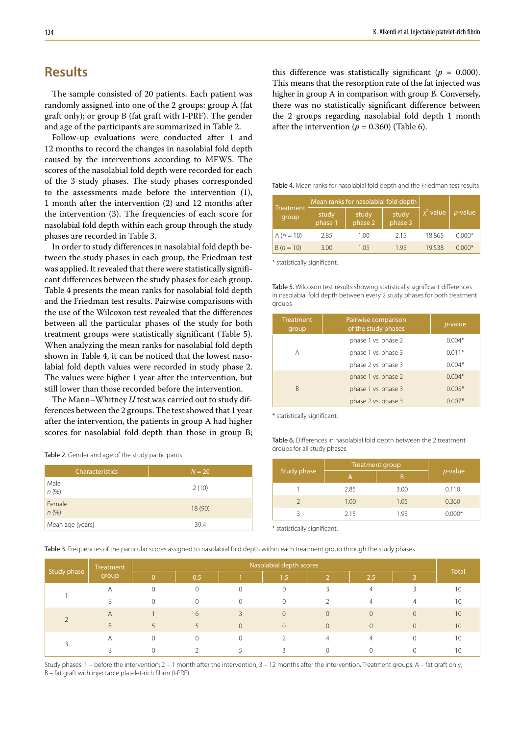# **Results**

The sample consisted of 20 patients. Each patient was randomly assigned into one of the 2 groups: group A (fat graft only); or group B (fat graft with I-PRF). The gender and age of the participants are summarized in Table 2.

Follow-up evaluations were conducted after 1 and 12 months to record the changes in nasolabial fold depth caused by the interventions according to MFWS. The scores of the nasolabial fold depth were recorded for each of the 3 study phases. The study phases corresponded to the assessments made before the intervention (1), 1 month after the intervention (2) and 12 months after the intervention (3). The frequencies of each score for nasolabial fold depth within each group through the study phases are recorded in Table 3.

In order to study differences in nasolabial fold depth between the study phases in each group, the Friedman test was applied. It revealed that there were statistically significant differences between the study phases for each group. Table 4 presents the mean ranks for nasolabial fold depth and the Friedman test results. Pairwise comparisons with the use of the Wilcoxon test revealed that the differences between all the particular phases of the study for both treatment groups were statistically significant (Table 5). When analyzing the mean ranks for nasolabial fold depth shown in Table 4, it can be noticed that the lowest nasolabial fold depth values were recorded in study phase 2. The values were higher 1 year after the intervention, but still lower than those recorded before the intervention.

The Mann–Whitney *U* test was carried out to study differences between the 2 groups. The test showed that 1 year after the intervention, the patients in group A had higher scores for nasolabial fold depth than those in group B;

Table 2. Gender and age of the study participants

| <b>Characteristics</b> | $N = 20$ |
|------------------------|----------|
| Male<br>n(%)           | 2(10)    |
| Female<br>n(%)         | 18(90)   |
| Mean age [years]       | 39.4     |

this difference was statistically significant ( $p = 0.000$ ). This means that the resorption rate of the fat injected was higher in group A in comparison with group B. Conversely, there was no statistically significant difference between the 2 groups regarding nasolabial fold depth 1 month after the intervention  $(p = 0.360)$  (Table 6).

Table 4. Mean ranks for nasolabial fold depth and the Friedman test results

|                    |                  | Mean ranks for nasolabial fold depth |                  |             |            |
|--------------------|------------------|--------------------------------------|------------------|-------------|------------|
| Treatment<br>group | study<br>phase 1 | study<br>phase 2                     | study<br>phase 3 | $x^2$ value | $p$ -value |
| A $(n = 10)$       | 2.85             | 1.00                                 | 2.15             | 18.865      | $0.000*$   |
| $B(n = 10)$        | 3.00             | 1.05                                 | 1 95             | 19538       | $0.000*$   |

\* statistically significant.

Table 5. Wilcoxon test results showing statistically significant differences in nasolabial fold depth between every 2 study phases for both treatment groups

| <b>Treatment</b><br>group | Pairwise comparison<br>of the study phases | <i>p</i> -value |
|---------------------------|--------------------------------------------|-----------------|
|                           | phase 1 vs. phase 2                        | $0.004*$        |
| A                         | phase 1 vs. phase 3                        | $0.011*$        |
|                           | phase 2 vs. phase 3                        | $0.004*$        |
|                           | phase 1 vs. phase 2                        | $0.004*$        |
| B                         | phase 1 vs. phase 3                        | $0.005*$        |
|                           | phase 2 vs. phase 3                        | $0.007*$        |

\* statistically significant.

Table 6. Differences in nasolabial fold depth between the 2 treatment groups for all study phases

|             | Treatment group |      |          |
|-------------|-----------------|------|----------|
| Study phase |                 | B    | p-value  |
|             | 2.85            | 3.00 | 0.110    |
|             | 1.00            | 1.05 | 0.360    |
|             | 2.15            | 1.95 | $0.000*$ |

\* statistically significant.

Table 3. Frequencies of the particular scores assigned to nasolabial fold depth within each treatment group through the study phases

| Study phase | Treatment<br>group | Nasolabial depth scores |     |          |          |                |                |  |              |
|-------------|--------------------|-------------------------|-----|----------|----------|----------------|----------------|--|--------------|
|             |                    | $\Omega$                | 0.5 |          | 1.5      | $\overline{2}$ | /2.5/          |  | <b>Total</b> |
|             | Α                  |                         |     | $\cap$   |          |                | $\overline{4}$ |  | 10           |
|             | <sup>B</sup>       |                         | 0   | $\Omega$ | 0        |                | 4              |  | 10           |
|             | Α                  |                         | 6   | 3        | $\Omega$ | $\overline{0}$ | $\overline{0}$ |  | 10           |
|             | B                  | 5                       |     | $\Omega$ | $\Omega$ | $\overline{0}$ | $\Omega$       |  | 10           |
|             | Α                  |                         |     | $\cap$   |          | 4              | 4              |  | 10           |
|             | <sup>B</sup>       |                         |     |          |          |                |                |  |              |

Study phases: 1 – before the intervention; 2 – 1 month after the intervention; 3 – 12 months after the intervention. Treatment groups: A – fat graft only; B – fat graft with injectable platelet-rich fibrin (I-PRF).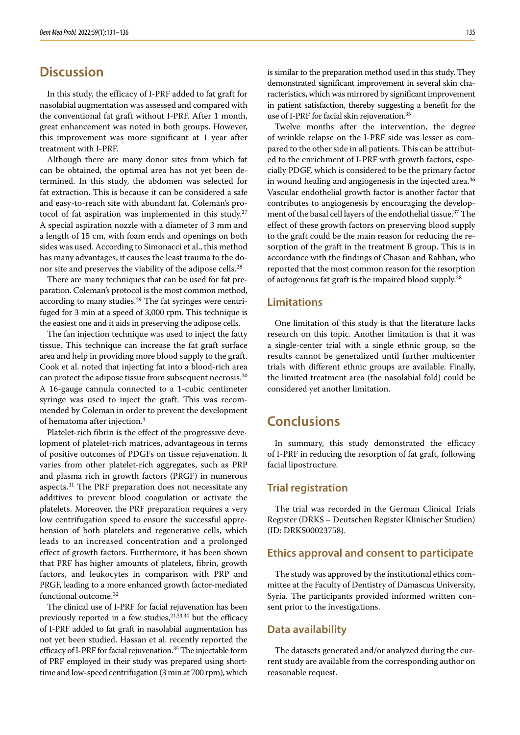# **Discussion**

In this study, the efficacy of I-PRF added to fat graft for nasolabial augmentation was assessed and compared with the conventional fat graft without I-PRF. After 1 month, great enhancement was noted in both groups. However, this improvement was more significant at 1 year after treatment with I-PRF.

Although there are many donor sites from which fat can be obtained, the optimal area has not yet been determined. In this study, the abdomen was selected for fat extraction. This is because it can be considered a safe and easy-to-reach site with abundant fat. Coleman's protocol of fat aspiration was implemented in this study.<sup>27</sup> A special aspiration nozzle with a diameter of 3 mm and a length of 15 cm, with foam ends and openings on both sides was used. According to Simonacci et al., this method has many advantages; it causes the least trauma to the donor site and preserves the viability of the adipose cells.<sup>28</sup>

There are many techniques that can be used for fat preparation. Coleman's protocol is the most common method, according to many studies.<sup>29</sup> The fat syringes were centrifuged for 3 min at a speed of 3,000 rpm. This technique is the easiest one and it aids in preserving the adipose cells.

The fan injection technique was used to inject the fatty tissue. This technique can increase the fat graft surface area and help in providing more blood supply to the graft. Cook et al. noted that injecting fat into a blood-rich area can protect the adipose tissue from subsequent necrosis.<sup>30</sup> A 16-gauge cannula connected to a 1-cubic centimeter syringe was used to inject the graft. This was recommended by Coleman in order to prevent the development of hematoma after injection.3

Platelet-rich fibrin is the effect of the progressive development of platelet-rich matrices, advantageous in terms of positive outcomes of PDGFs on tissue rejuvenation. It varies from other platelet-rich aggregates, such as PRP and plasma rich in growth factors (PRGF) in numerous aspects.<sup>31</sup> The PRF preparation does not necessitate any additives to prevent blood coagulation or activate the platelets. Moreover, the PRF preparation requires a very low centrifugation speed to ensure the successful apprehension of both platelets and regenerative cells, which leads to an increased concentration and a prolonged effect of growth factors. Furthermore, it has been shown that PRF has higher amounts of platelets, fibrin, growth factors, and leukocytes in comparison with PRP and PRGF, leading to a more enhanced growth factor-mediated functional outcome.32

The clinical use of I-PRF for facial rejuvenation has been previously reported in a few studies,  $21,33,34$  but the efficacy of I-PRF added to fat graft in nasolabial augmentation has not yet been studied. Hassan et al. recently reported the efficacy of I-PRF for facial rejuvenation.<sup>35</sup> The injectable form of PRF employed in their study was prepared using shorttime and low-speed centrifugation (3 min at 700 rpm), which is similar to the preparation method used in this study. They demonstrated significant improvement in several skin characteristics, which was mirrored by significant improvement in patient satisfaction, thereby suggesting a benefit for the use of I-PRF for facial skin rejuvenation.<sup>35</sup>

Twelve months after the intervention, the degree of wrinkle relapse on the I-PRF side was lesser as compared to the other side in all patients. This can be attributed to the enrichment of I-PRF with growth factors, especially PDGF, which is considered to be the primary factor in wound healing and angiogenesis in the injected area.<sup>36</sup> Vascular endothelial growth factor is another factor that contributes to angiogenesis by encouraging the development of the basal cell layers of the endothelial tissue.37 The effect of these growth factors on preserving blood supply to the graft could be the main reason for reducing the resorption of the graft in the treatment B group. This is in accordance with the findings of Chasan and Rahban, who reported that the most common reason for the resorption of autogenous fat graft is the impaired blood supply.38

### **Limitations**

One limitation of this study is that the literature lacks research on this topic. Another limitation is that it was a single-center trial with a single ethnic group, so the results cannot be generalized until further multicenter trials with different ethnic groups are available. Finally, the limited treatment area (the nasolabial fold) could be considered yet another limitation.

# **Conclusions**

In summary, this study demonstrated the efficacy of I-PRF in reducing the resorption of fat graft, following facial lipostructure.

### **Trial registration**

The trial was recorded in the German Clinical Trials Register (DRKS – Deutschen Register Klinischer Studien) (ID: DRKS00023758).

#### **Ethics approval and consent to participate**

The study was approved by the institutional ethics committee at the Faculty of Dentistry of Damascus University, Syria. The participants provided informed written consent prior to the investigations.

#### **Data availability**

The datasets generated and/or analyzed during the current study are available from the corresponding author on reasonable request.